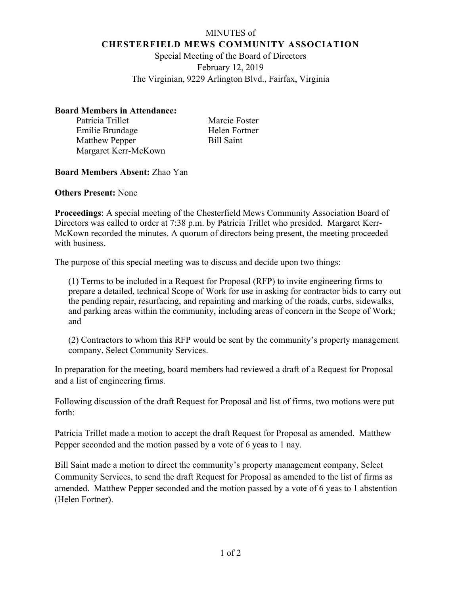## MINUTES of **CHESTERFIELD MEWS COMMUNITY ASSOCIATION**

Special Meeting of the Board of Directors February 12, 2019 The Virginian, 9229 Arlington Blvd., Fairfax, Virginia

## **Board Members in Attendance:**

Patricia Trillet Marcie Foster Emilie Brundage Helen Fortner Matthew Pepper Bill Saint Margaret Kerr-McKown

## **Board Members Absent:** Zhao Yan

**Others Present:** None

**Proceedings**: A special meeting of the Chesterfield Mews Community Association Board of Directors was called to order at 7:38 p.m. by Patricia Trillet who presided. Margaret Kerr-McKown recorded the minutes. A quorum of directors being present, the meeting proceeded with business.

The purpose of this special meeting was to discuss and decide upon two things:

(1) Terms to be included in a Request for Proposal (RFP) to invite engineering firms to prepare a detailed, technical Scope of Work for use in asking for contractor bids to carry out the pending repair, resurfacing, and repainting and marking of the roads, curbs, sidewalks, and parking areas within the community, including areas of concern in the Scope of Work; and

(2) Contractors to whom this RFP would be sent by the community's property management company, Select Community Services.

In preparation for the meeting, board members had reviewed a draft of a Request for Proposal and a list of engineering firms.

Following discussion of the draft Request for Proposal and list of firms, two motions were put forth:

Patricia Trillet made a motion to accept the draft Request for Proposal as amended. Matthew Pepper seconded and the motion passed by a vote of 6 yeas to 1 nay.

Bill Saint made a motion to direct the community's property management company, Select Community Services, to send the draft Request for Proposal as amended to the list of firms as amended. Matthew Pepper seconded and the motion passed by a vote of 6 yeas to 1 abstention (Helen Fortner).